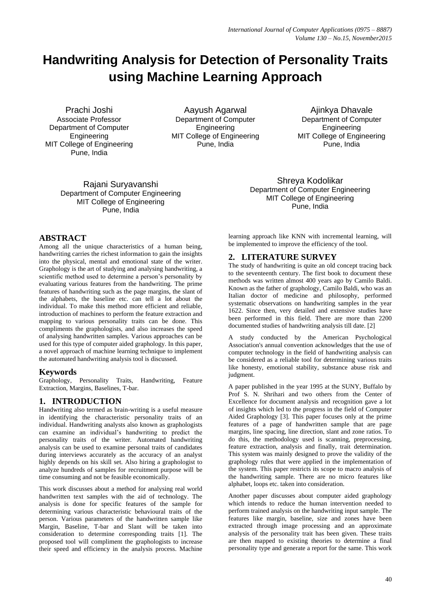# **Handwriting Analysis for Detection of Personality Traits using Machine Learning Approach**

Prachi Joshi Associate Professor Department of Computer **Engineering** MIT College of Engineering Pune, India

Aayush Agarwal Department of Computer Engineering MIT College of Engineering Pune, India

Ajinkya Dhavale Department of Computer Engineering MIT College of Engineering Pune, India

Rajani Suryavanshi Department of Computer Engineering MIT College of Engineering Pune, India

# **ABSTRACT**

Among all the unique characteristics of a human being, handwriting carries the richest information to gain the insights into the physical, mental and emotional state of the writer. Graphology is the art of studying and analysing handwriting, a scientific method used to determine a person's personality by evaluating various features from the handwriting. The prime features of handwriting such as the page margins, the slant of the alphabets, the baseline etc. can tell a lot about the individual. To make this method more efficient and reliable, introduction of machines to perform the feature extraction and mapping to various personality traits can be done. This compliments the graphologists, and also increases the speed of analysing handwritten samples. Various approaches can be used for this type of computer aided graphology. In this paper, a novel approach of machine learning technique to implement the automated handwriting analysis tool is discussed.

### **Keywords**

Graphology, Personality Traits, Handwriting, Feature Extraction, Margins, Baselines, T-bar.

# **1. INTRODUCTION**

Handwriting also termed as brain-writing is a useful measure in identifying the characteristic personality traits of an individual. Handwriting analysts also known as graphologists can examine an individual"s handwriting to predict the personality traits of the writer. Automated handwriting analysis can be used to examine personal traits of candidates during interviews accurately as the accuracy of an analyst highly depends on his skill set. Also hiring a graphologist to analyze hundreds of samples for recruitment purpose will be time consuming and not be feasible economically.

This work discusses about a method for analysing real world handwritten text samples with the aid of technology. The analysis is done for specific features of the sample for determining various characteristic behavioural traits of the person. Various parameters of the handwritten sample like Margin, Baseline, T-bar and Slant will be taken into consideration to determine corresponding traits [1]. The proposed tool will compliment the graphologists to increase their speed and efficiency in the analysis process. Machine Department of Computer Engineering MIT College of Engineering Pune, India

Shreya Kodolikar

learning approach like KNN with incremental learning, will be implemented to improve the efficiency of the tool.

### **2. LITERATURE SURVEY**

The study of handwriting is quite an old concept tracing back to the seventeenth century. The first book to document these methods was written almost 400 years ago by Camilo Baldi. Known as the father of graphology, Camilo Baldi, who was an Italian doctor of medicine and philosophy, performed systematic observations on handwriting samples in the year 1622. Since then, very detailed and extensive studies have been performed in this field. There are more than 2200 documented studies of handwriting analysis till date. [2]

A study conducted by the American Psychological Association's annual convention acknowledges that the use of computer technology in the field of handwriting analysis can be considered as a reliable tool for determining various traits like honesty, emotional stability, substance abuse risk and judgment.

A paper published in the year 1995 at the SUNY, Buffalo by Prof S. N. Shrihari and two others from the Center of Excellence for document analysis and recognition gave a lot of insights which led to the progress in the field of Computer Aided Graphology [3]. This paper focuses only at the prime features of a page of handwritten sample that are page margins, line spacing, line direction, slant and zone ratios. To do this, the methodology used is scanning, preprocessing, feature extraction, analysis and finally, trait determination. This system was mainly designed to prove the validity of the graphology rules that were applied in the implementation of the system. This paper restricts its scope to macro analysis of the handwriting sample. There are no micro features like alphabet, loops etc. taken into consideration.

Another paper discusses about computer aided graphology which intends to reduce the human intervention needed to perform trained analysis on the handwriting input sample. The features like margin, baseline, size and zones have been extracted through image processing and an approximate analysis of the personality trait has been given. These traits are then mapped to existing theories to determine a final personality type and generate a report for the same. This work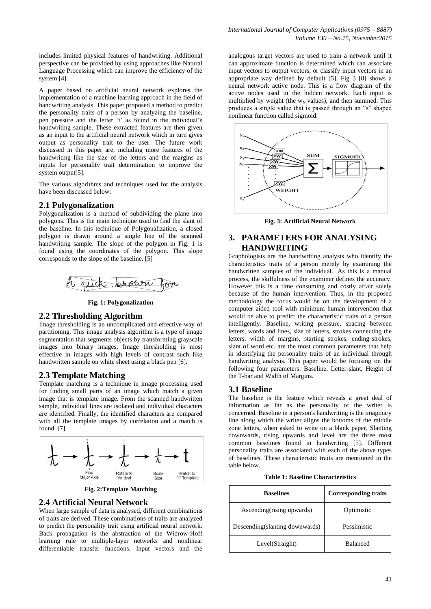includes limited physical features of handwriting. Additional perspective can be provided by using approaches like Natural Language Processing which can improve the efficiency of the system [4].

A paper based on artificial neural network explores the implementation of a machine learning approach in the field of handwriting analysis. This paper proposed a method to predict the personality traits of a person by analyzing the baseline, pen pressure and the letter 't' as found in the individual's handwriting sample. These extracted features are then given as an input to the artificial neural network which in turn gives output as personality trait to the user. The future work discussed in this paper are, including more features of the handwriting like the size of the letters and the margins as inputs for personality trait determination to improve the system output[5].

The various algorithms and techniques used for the analysis have been discussed below:

### **2.1 Polygonalization**

Polygonalization is a method of subdividing the plane into polygons. This is the main technique used to find the slant of the baseline. In this technique of Polygonalization, a closed polygon is drawn around a single line of the scanned handwriting sample. The slope of the polygon in Fig. 1 is found using the coordinates of the polygon. This slope corresponds to the slope of the baseline. [5]



**Fig. 1: Polygonalization**

#### **2.2 Thresholding Algorithm**

Image thresholding is an uncomplicated and effective way of partitioning. This image analysis algorithm is a type of image segmentation that segments objects by transforming grayscale images into binary images. Image thresholding is most effective in images with high levels of contrast such like handwritten sample on white sheet using a black pen [6].

### **2.3 Template Matching**

Template matching is a technique in image processing used for finding small parts of an image which match a given image that is template image. From the scanned handwritten sample, individual lines are isolated and individual characters are identified. Finally, the identified characters are compared with all the template images by correlation and a match is found. [7]



**Fig. 2:Template Matching**

#### **2.4 Artificial Neural Network**

When large sample of data is analysed, different combinations of traits are derived. These combinations of traits are analyzed to predict the personality trait using artificial neural network. Back propagation is the abstraction of the Widrow-Hoff learning rule to multiple-layer networks and nonlinear differentiable transfer functions. Input vectors and the

analogous target vectors are used to train a network until it can approximate function is determined which can associate input vectors to output vectors, or classify input vectors in an appropriate way defined by default [5]. Fig 3 [8] shows a neural network active node. This is a flow diagram of the active nodes used in the hidden network. Each input is multiplied by weight (the  $w_N$  values), and then summed. This produces a single value that is passed through an "s" shaped nonlinear function called sigmoid.



**Fig. 3: Artificial Neural Network**

## **3. PARAMETERS FOR ANALYSING HANDWRITING**

Graphologists are the handwriting analysts who identify the characteristics traits of a person merely by examining the handwritten samples of the individual. As this is a manual process, the skilfulness of the examiner defines the accuracy. However this is a time consuming and costly affair solely because of the human intervention. Thus, in the proposed methodology the focus would be on the development of a computer aided tool with minimum human intervention that would be able to predict the characteristic traits of a person intelligently. Baseline, writing pressure, spacing between letters, words and lines, size of letters, strokes connecting the letters, width of margins, starting strokes, ending-strokes, slant of word etc. are the most common parameters that help in identifying the personality traits of an individual through handwriting analysis. This paper would be focusing on the following four parameters: Baseline, Letter-slant, Height of the T-bar and Width of Margins.

#### **3.1 Baseline**

The baseline is the feature which reveals a great deal of information as far as the personality of the writer is concerned. Baseline in a person's handwriting is the imaginary line along which the writer aligns the bottoms of the middle zone letters, when asked to write on a blank paper. Slanting downwards, rising upwards and level are the three most common baselines found in handwriting [5]. Different personality traits are associated with each of the above types of baselines. These characteristic traits are mentioned in the table below.

|  |  | <b>Table 1: Baseline Characteristics</b> |  |  |
|--|--|------------------------------------------|--|--|
|--|--|------------------------------------------|--|--|

| <b>Baselines</b>               | <b>Corresponding traits</b> |  |
|--------------------------------|-----------------------------|--|
| Ascending (rising upwards)     | Optimistic                  |  |
| Descending(slanting downwards) | Pessimistic                 |  |
| Level(Straight)                | <b>Balanced</b>             |  |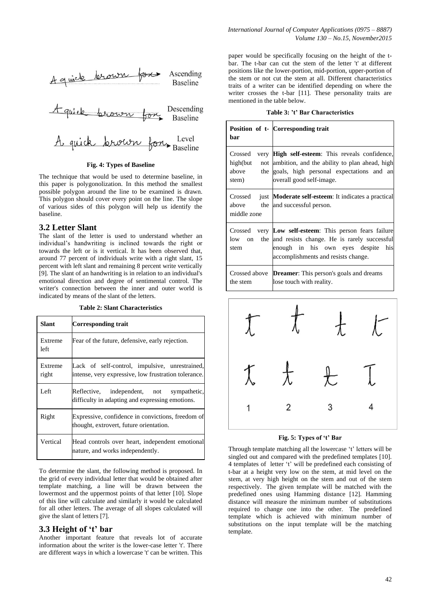

#### **Fig. 4: Types of Baseline**

The technique that would be used to determine baseline, in this paper is polygonolization. In this method the smallest possible polygon around the line to be examined is drawn. This polygon should cover every point on the line. The slope of various sides of this polygon will help us identify the baseline.

### **3.2 Letter Slant**

The slant of the letter is used to understand whether an individual"s handwriting is inclined towards the right or towards the left or is it vertical. It has been observed that, around 77 percent of individuals write with a right slant, 15 percent with left slant and remaining 8 percent write vertically [9]. The slant of an handwriting is in relation to an individual's emotional direction and degree of sentimental control. The writer's connection between the inner and outer world is indicated by means of the slant of the letters.

**Table 2: Slant Characteristics**

| Slant            | Corresponding trait                                                                                    |
|------------------|--------------------------------------------------------------------------------------------------------|
| Extreme<br>left  | Fear of the future, defensive, early rejection.                                                        |
| Extreme<br>right | Lack of self-control, impulsive, unrestrained,<br>intense, very expressive, low frustration tolerance. |
| Left             | Reflective, independent, not sympathetic,<br>difficulty in adapting and expressing emotions.           |
| Right            | Expressive, confidence in convictions, freedom of<br>thought, extrovert, future orientation.           |
| Vertical         | Head controls over heart, independent emotional<br>nature, and works independently.                    |

To determine the slant, the following method is proposed. In the grid of every individual letter that would be obtained after template matching, a line will be drawn between the lowermost and the uppermost points of that letter [10]. Slope of this line will calculate and similarly it would be calculated for all other letters. The average of all slopes calculated will give the slant of letters [7].

### **3.3 Height of 't' bar**

Another important feature that reveals lot of accurate information about the writer is the lower-case letter 't'. There are different ways in which a lowercase 't' can be written. This paper would be specifically focusing on the height of the tbar. The t-bar can cut the stem of the letter 't' at different positions like the lower-portion, mid-portion, upper-portion of the stem or not cut the stem at all. Different characteristics traits of a writer can be identified depending on where the writer crosses the t-bar [11]. These personality traits are mentioned in the table below.

| Table 3: 't' Bar Characteristics |  |
|----------------------------------|--|
|----------------------------------|--|

| bar                                   | Position of t- Corresponding trait                                                                                                                                                      |
|---------------------------------------|-----------------------------------------------------------------------------------------------------------------------------------------------------------------------------------------|
| Crossed<br>high(but<br>above<br>stem) | very High self-esteem: This reveals confidence,<br>not ambition, and the ability to plan ahead, high<br>the goals, high personal expectations and an<br>overall good self-image.        |
| above<br>middle zone                  | Crossed just Moderate self-esteem: It indicates a practical<br>the and successful person.                                                                                               |
| low on<br>stem                        | Crossed very Low self-esteem: This person fears failure<br>the and resists change. He is rarely successful<br>enough in his own eyes despite his<br>accomplishments and resists change. |
| the stem                              | Crossed above <b>Dreamer</b> : This person's goals and dreams<br>lose touch with reality.                                                                                               |



**Fig. 5: Types of 't' Bar**

Through template matching all the lowercase 't' letters will be singled out and compared with the predefined templates [10]. 4 templates of letter "t" will be predefined each consisting of t-bar at a height very low on the stem, at mid level on the stem, at very high height on the stem and out of the stem respectively. The given template will be matched with the predefined ones using Hamming distance [12]. Hamming distance will measure the minimum number of substitutions required to change one into the other. The predefined template which is achieved with minimum number of substitutions on the input template will be the matching template.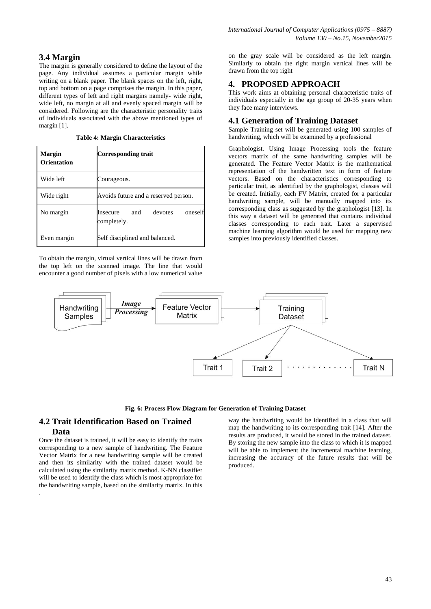# **3.4 Margin**

The margin is generally considered to define the layout of the page. Any individual assumes a particular margin while writing on a blank paper. The blank spaces on the left, right, top and bottom on a page comprises the margin. In this paper, different types of left and right margins namely- wide right, wide left, no margin at all and evenly spaced margin will be considered. Following are the characteristic personality traits of individuals associated with the above mentioned types of margin [1].

**Table 4: Margin Characteristics**

| <b>Margin</b><br>Orientation | Corresponding trait                                         |
|------------------------------|-------------------------------------------------------------|
| Wide left                    | Courageous.                                                 |
| Wide right                   | Avoids future and a reserved person.                        |
| No margin                    | devotes<br>and<br>oneself<br><b>Insecure</b><br>completely. |
| Even margin                  | Self disciplined and balanced.                              |

To obtain the margin, virtual vertical lines will be drawn from the top left on the scanned image. The line that would encounter a good number of pixels with a low numerical value

on the gray scale will be considered as the left margin. Similarly to obtain the right margin vertical lines will be drawn from the top right

# **4. PROPOSED APPROACH**

This work aims at obtaining personal characteristic traits of individuals especially in the age group of 20-35 years when they face many interviews.

# **4.1 Generation of Training Dataset**

Sample Training set will be generated using 100 samples of handwriting, which will be examined by a professional

Graphologist. Using Image Processing tools the feature vectors matrix of the same handwriting samples will be generated. The Feature Vector Matrix is the mathematical representation of the handwritten text in form of feature vectors. Based on the characteristics corresponding to particular trait, as identified by the graphologist, classes will be created. Initially, each FV Matrix, created for a particular handwriting sample, will be manually mapped into its corresponding class as suggested by the graphologist [13]. In this way a dataset will be generated that contains individual classes corresponding to each trait. Later a supervised machine learning algorithm would be used for mapping new samples into previously identified classes.





### **4.2 Trait Identification Based on Trained Data**

Once the dataset is trained, it will be easy to identify the traits corresponding to a new sample of handwriting. The Feature Vector Matrix for a new handwriting sample will be created and then its similarity with the trained dataset would be calculated using the similarity matrix method. K-NN classifier will be used to identify the class which is most appropriate for the handwriting sample, based on the similarity matrix. In this .

way the handwriting would be identified in a class that will map the handwriting to its corresponding trait [14]. After the results are produced, it would be stored in the trained dataset. By storing the new sample into the class to which it is mapped will be able to implement the incremental machine learning, increasing the accuracy of the future results that will be produced.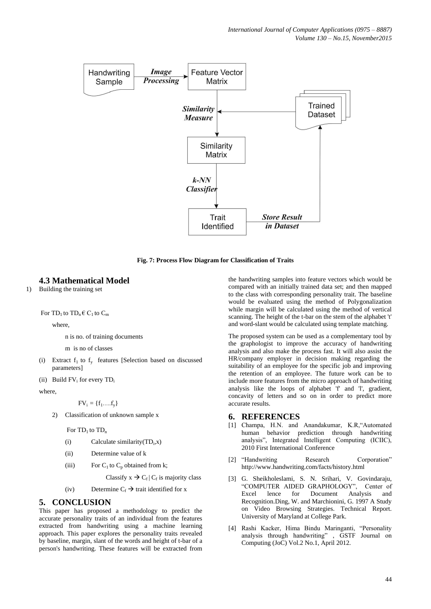

**Fig. 7: Process Flow Diagram for Classification of Traits**

### **4.3 Mathematical Model**

1) Building the training set

For  $TD_1$  to  $TD_n \in C_1$  to  $C_m$ 

where,

n is no. of training documents

m is no of classes

(i) Extract  $f_1$  to  $f_y$  features [Selection based on discussed parameters]

(ii) Build  $FV_i$  for every  $TD_i$ 

where,

 $FV_i = \{f_1, ..., f_v\}$ 

2) Classification of unknown sample x

For  $TD_1$  to  $TD_n$ 

- (i) Calculate similarity  $(TD_i, x)$
- (ii) Determine value of k
- (iii) For  $C_1$  to  $C_p$  obtained from k;

Classify  $x \to C_f | C_f$  is majority class

(iv) Determine  $C_f \rightarrow$  trait identified for x

### **5. CONCLUSION**

This paper has proposed a methodology to predict the accurate personality traits of an individual from the features extracted from handwriting using a machine learning approach. This paper explores the personality traits revealed by baseline, margin, slant of the words and height of t-bar of a person's handwriting. These features will be extracted from

the handwriting samples into feature vectors which would be compared with an initially trained data set; and then mapped to the class with corresponding personality trait. The baseline would be evaluated using the method of Polygonalization while margin will be calculated using the method of vertical scanning. The height of the t-bar on the stem of the alphabet 't' and word-slant would be calculated using template matching.

The proposed system can be used as a complementary tool by the graphologist to improve the accuracy of handwriting analysis and also make the process fast. It will also assist the HR/company employer in decision making regarding the suitability of an employee for the specific job and improving the retention of an employee. The future work can be to include more features from the micro approach of handwriting analysis like the loops of alphabet 'f' and 'l', gradient, concavity of letters and so on in order to predict more accurate results.

### **6. REFERENCES**

- [1] Champa, H.N. and Anandakumar, K.R,"Automated human behavior prediction through handwriting analysis", Integrated Intelligent Computing (ICIIC), 2010 First International Conference
- [2] "Handwriting Research Corporation" http://www.handwriting.com/facts/history.html
- [3] G. Sheikholeslami, S. N. Srihari, V. Govindaraju, "COMPUTER AIDED GRAPHOLOGY", Center of Excel lence for Document Analysis and Recognition.Ding, W. and Marchionini, G. 1997 A Study on Video Browsing Strategies. Technical Report. University of Maryland at College Park.
- [4] Rashi Kacker, Hima Bindu Maringanti, "Personality analysis through handwriting" , GSTF Journal on Computing (JoC) Vol.2 No.1, April 2012.